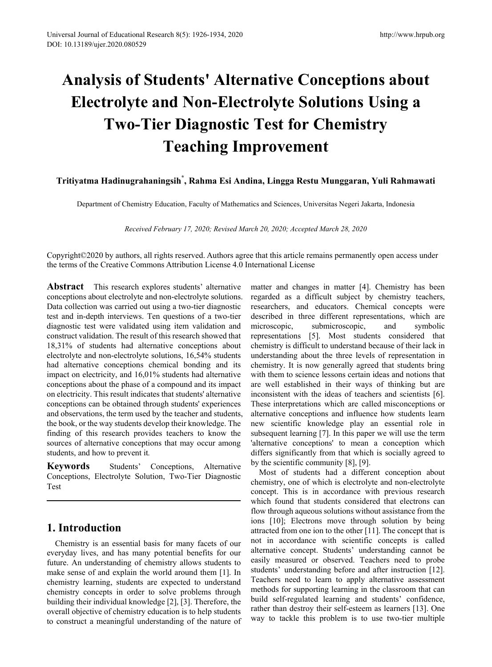# **Analysis of Students' Alternative Conceptions about Electrolyte and Non-Electrolyte Solutions Using a Two-Tier Diagnostic Test for Chemistry Teaching Improvement**

## **Tritiyatma Hadinugrahaningsih\* , Rahma Esi Andina, Lingga Restu Munggaran, Yuli Rahmawati**

Department of Chemistry Education, Faculty of Mathematics and Sciences, Universitas Negeri Jakarta, Indonesia

*Received February 17, 2020; Revised March 20, 2020; Accepted March 28, 2020*

Copyright©2020 by authors, all rights reserved. Authors agree that this article remains permanently open access under the terms of the Creative Commons Attribution License 4.0 International License

**Abstract** This research explores students' alternative conceptions about electrolyte and non-electrolyte solutions. Data collection was carried out using a two-tier diagnostic test and in-depth interviews. Ten questions of a two-tier diagnostic test were validated using item validation and construct validation. The result of this research showed that 18,31% of students had alternative conceptions about electrolyte and non-electrolyte solutions, 16,54% students had alternative conceptions chemical bonding and its impact on electricity, and 16,01% students had alternative conceptions about the phase of a compound and its impact on electricity. This result indicates that students' alternative conceptions can be obtained through students' experiences and observations, the term used by the teacher and students, the book, or the way students develop their knowledge. The finding of this research provides teachers to know the sources of alternative conceptions that may occur among students, and how to prevent it*.*

**Keywords** Students' Conceptions, Alternative Conceptions, Electrolyte Solution, Two-Tier Diagnostic Test

## **1. Introduction**

Chemistry is an essential basis for many facets of our everyday lives, and has many potential benefits for our future. An understanding of chemistry allows students to make sense of and explain the world around them [1]. In chemistry learning, students are expected to understand chemistry concepts in order to solve problems through building their individual knowledge [2], [3]. Therefore, the overall objective of chemistry education is to help students to construct a meaningful understanding of the nature of

matter and changes in matter [4]. Chemistry has been regarded as a difficult subject by chemistry teachers, researchers, and educators. Chemical concepts were described in three different representations, which are microscopic, submicroscopic, and symbolic representations [5]. Most students considered that chemistry is difficult to understand because of their lack in understanding about the three levels of representation in chemistry. It is now generally agreed that students bring with them to science lessons certain ideas and notions that are well established in their ways of thinking but are inconsistent with the ideas of teachers and scientists [6]. These interpretations which are called misconceptions or alternative conceptions and influence how students learn new scientific knowledge play an essential role in subsequent learning [7]. In this paper we will use the term 'alternative conceptions' to mean a conception which differs significantly from that which is socially agreed to by the scientific community [8], [9].

Most of students had a different conception about chemistry, one of which is electrolyte and non-electrolyte concept. This is in accordance with previous research which found that students considered that electrons can flow through aqueous solutions without assistance from the ions [10]; Electrons move through solution by being attracted from one ion to the other [11]. The concept that is not in accordance with scientific concepts is called alternative concept. Students' understanding cannot be easily measured or observed. Teachers need to probe students' understanding before and after instruction [12]. Teachers need to learn to apply alternative assessment methods for supporting learning in the classroom that can build self-regulated learning and students' confidence, rather than destroy their self-esteem as learners [13]. One way to tackle this problem is to use two-tier multiple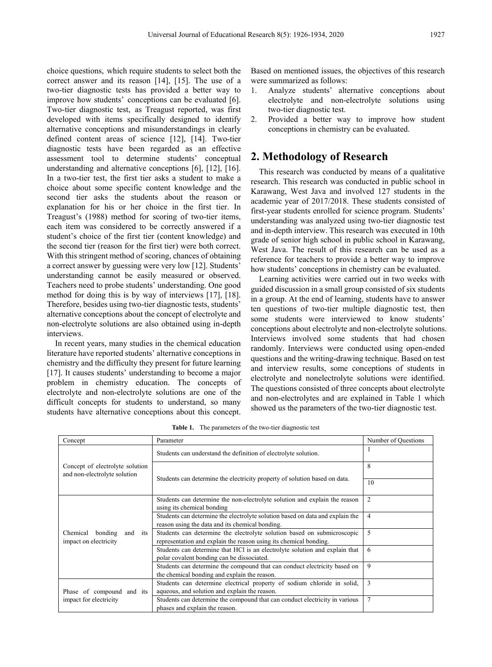choice questions, which require students to select both the correct answer and its reason [14], [15]. The use of a two-tier diagnostic tests has provided a better way to improve how students' conceptions can be evaluated [6]. Two-tier diagnostic test, as Treagust reported, was first developed with items specifically designed to identify alternative conceptions and misunderstandings in clearly defined content areas of science [12], [14]. Two-tier diagnostic tests have been regarded as an effective assessment tool to determine students' conceptual understanding and alternative conceptions [6], [12], [16]. In a two-tier test, the first tier asks a student to make a choice about some specific content knowledge and the second tier asks the students about the reason or explanation for his or her choice in the first tier. In Treagust's (1988) method for scoring of two-tier items, each item was considered to be correctly answered if a student's choice of the first tier (content knowledge) and the second tier (reason for the first tier) were both correct. With this stringent method of scoring, chances of obtaining a correct answer by guessing were very low [12]. Students' understanding cannot be easily measured or observed. Teachers need to probe students' understanding. One good method for doing this is by way of interviews [17], [18]. Therefore, besides using two-tier diagnostic tests, students' alternative conceptions about the concept of electrolyte and non-electrolyte solutions are also obtained using in-depth interviews.

In recent years, many studies in the chemical education literature have reported students' alternative conceptions in chemistry and the difficulty they present for future learning [17]. It causes students' understanding to become a major problem in chemistry education. The concepts of electrolyte and non-electrolyte solutions are one of the difficult concepts for students to understand, so many students have alternative conceptions about this concept.

Based on mentioned issues, the objectives of this research were summarized as follows:

- 1. Analyze students' alternative conceptions about electrolyte and non-electrolyte solutions using two-tier diagnostic test.
- 2. Provided a better way to improve how student conceptions in chemistry can be evaluated.

## **2. Methodology of Research**

This research was conducted by means of a qualitative research. This research was conducted in public school in Karawang, West Java and involved 127 students in the academic year of 2017/2018. These students consisted of first-year students enrolled for science program. Students' understanding was analyzed using two-tier diagnostic test and in-depth interview. This research was executed in 10th grade of senior high school in public school in Karawang, West Java. The result of this research can be used as a reference for teachers to provide a better way to improve how students' conceptions in chemistry can be evaluated.

Learning activities were carried out in two weeks with guided discussion in a small group consisted of six students in a group. At the end of learning, students have to answer ten questions of two-tier multiple diagnostic test, then some students were interviewed to know students' conceptions about electrolyte and non-electrolyte solutions. Interviews involved some students that had chosen randomly. Interviews were conducted using open-ended questions and the writing-drawing technique. Based on test and interview results, some conceptions of students in electrolyte and nonelectrolyte solutions were identified. The questions consisted of three concepts about electrolyte and non-electrolytes and are explained in Table 1 which showed us the parameters of the two-tier diagnostic test.

| Concept                                                         | Parameter                                                                                                                                    | Number of Questions |  |
|-----------------------------------------------------------------|----------------------------------------------------------------------------------------------------------------------------------------------|---------------------|--|
|                                                                 | Students can understand the definition of electrolyte solution.                                                                              | 1                   |  |
| Concept of electrolyte solution<br>and non-electrolyte solution |                                                                                                                                              | 8                   |  |
|                                                                 | Students can determine the electricity property of solution based on data.                                                                   | 10                  |  |
|                                                                 | Students can determine the non-electrolyte solution and explain the reason<br>using its chemical bonding                                     | $\overline{2}$      |  |
|                                                                 | Students can determine the electrolyte solution based on data and explain the<br>reason using the data and its chemical bonding.             | 4                   |  |
| Chemical<br>bonding<br>and<br>its<br>impact on electricity      | Students can determine the electrolyte solution based on submicroscopic<br>representation and explain the reason using its chemical bonding. | 5                   |  |
|                                                                 | Students can determine that HCl is an electrolyte solution and explain that<br>polar covalent bonding can be dissociated.                    | 6                   |  |
|                                                                 | Students can determine the compound that can conduct electricity based on<br>the chemical bonding and explain the reason.                    | 9                   |  |
|                                                                 | Students can determine electrical property of sodium chloride in solid,                                                                      | 3                   |  |
| Phase of compound and its                                       | aqueous, and solution and explain the reason.                                                                                                |                     |  |
| impact for electricity                                          | Students can determine the compound that can conduct electricity in various<br>phases and explain the reason.                                | $\overline{7}$      |  |
|                                                                 |                                                                                                                                              |                     |  |

**Table 1.** The parameters of the two-tier diagnostic test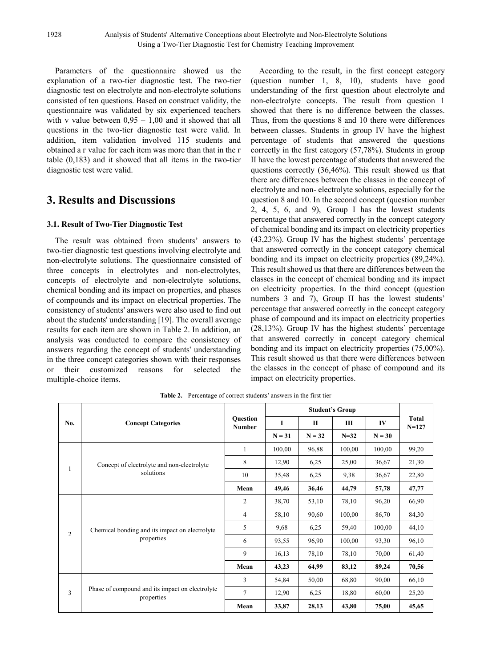Parameters of the questionnaire showed us the explanation of a two-tier diagnostic test. The two-tier diagnostic test on electrolyte and non-electrolyte solutions consisted of ten questions. Based on construct validity, the questionnaire was validated by six experienced teachers with v value between  $0.95 - 1.00$  and it showed that all questions in the two-tier diagnostic test were valid. In addition, item validation involved 115 students and obtained a  $\Gamma$  value for each item was more than that in the  $\Gamma$ table (0,183) and it showed that all items in the two-tier diagnostic test were valid.

## **3. Results and Discussions**

### **3.1. Result of Two-Tier Diagnostic Test**

The result was obtained from students' answers to two-tier diagnostic test questions involving electrolyte and non-electrolyte solutions. The questionnaire consisted of three concepts in electrolytes and non-electrolytes, concepts of electrolyte and non-electrolyte solutions, chemical bonding and its impact on properties, and phases of compounds and its impact on electrical properties. The consistency of students' answers were also used to find out about the students' understanding [19]. The overall average results for each item are shown in Table 2. In addition, an analysis was conducted to compare the consistency of answers regarding the concept of students' understanding in the three concept categories shown with their responses or their customized reasons for selected the multiple-choice items.

According to the result, in the first concept category (question number 1, 8, 10), students have good understanding of the first question about electrolyte and non-electrolyte concepts. The result from question 1 showed that there is no difference between the classes. Thus, from the questions 8 and 10 there were differences between classes. Students in group IV have the highest percentage of students that answered the questions correctly in the first category (57,78%). Students in group II have the lowest percentage of students that answered the questions correctly (36,46%). This result showed us that there are differences between the classes in the concept of electrolyte and non- electrolyte solutions, especially for the question 8 and 10. In the second concept (question number 2, 4, 5, 6, and 9), Group I has the lowest students percentage that answered correctly in the concept category of chemical bonding and its impact on electricity properties (43,23%). Group IV has the highest students' percentage that answered correctly in the concept category chemical bonding and its impact on electricity properties (89,24%). This result showed us that there are differences between the classes in the concept of chemical bonding and its impact on electricity properties. In the third concept (question numbers 3 and 7), Group II has the lowest students' percentage that answered correctly in the concept category phase of compound and its impact on electricity properties (28,13%). Group IV has the highest students' percentage that answered correctly in concept category chemical bonding and its impact on electricity properties (75,00%). This result showed us that there were differences between the classes in the concept of phase of compound and its impact on electricity properties.

| No.            | <b>Concept Categories</b>                                     | <b>Ouestion</b><br><b>Number</b> | <b>Student's Group</b> |          |          |          |                    |
|----------------|---------------------------------------------------------------|----------------------------------|------------------------|----------|----------|----------|--------------------|
|                |                                                               |                                  | I                      | П        | Ш        | IV       | Total<br>$N = 127$ |
|                |                                                               |                                  | $N = 31$               | $N = 32$ | $N = 32$ | $N = 30$ |                    |
| 1              | Concept of electrolyte and non-electrolyte<br>solutions       | 1                                | 100,00                 | 96,88    | 100,00   | 100,00   | 99,20              |
|                |                                                               | 8                                | 12,90                  | 6,25     | 25,00    | 36,67    | 21,30              |
|                |                                                               | 10                               | 35,48                  | 6,25     | 9,38     | 36,67    | 22,80              |
|                |                                                               | Mean                             | 49,46                  | 36,46    | 44,79    | 57,78    | 47,77              |
| $\overline{2}$ | Chemical bonding and its impact on electrolyte<br>properties  | 2                                | 38,70                  | 53,10    | 78,10    | 96,20    | 66,90              |
|                |                                                               | 4                                | 58,10                  | 90,60    | 100,00   | 86,70    | 84,30              |
|                |                                                               | 5                                | 9,68                   | 6,25     | 59,40    | 100,00   | 44,10              |
|                |                                                               | 6                                | 93,55                  | 96,90    | 100,00   | 93,30    | 96,10              |
|                |                                                               | 9                                | 16,13                  | 78,10    | 78,10    | 70,00    | 61,40              |
|                |                                                               | Mean                             | 43,23                  | 64,99    | 83,12    | 89,24    | 70,56              |
| 3              | Phase of compound and its impact on electrolyte<br>properties | 3                                | 54,84                  | 50,00    | 68,80    | 90,00    | 66,10              |
|                |                                                               | $\tau$                           | 12,90                  | 6,25     | 18,80    | 60,00    | 25,20              |
|                |                                                               | Mean                             | 33,87                  | 28,13    | 43,80    | 75,00    | 45,65              |

**Table 2.** Percentage of correct students' answers in the first tier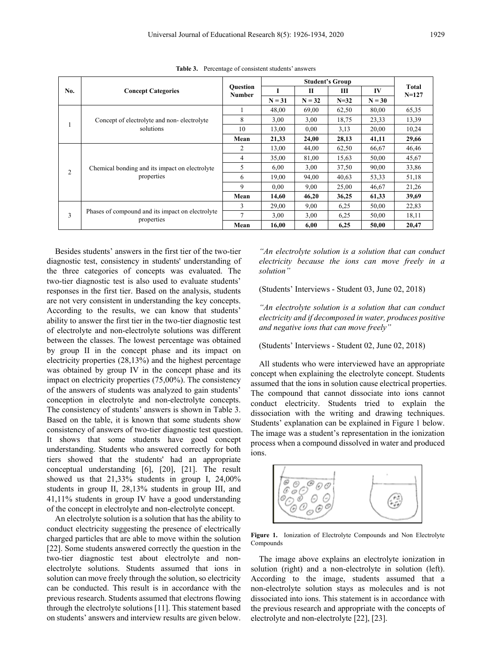| No.            | <b>Concept Categories</b>                                      |                                  | <b>Student's Group</b> |              |        |          |                    |
|----------------|----------------------------------------------------------------|----------------------------------|------------------------|--------------|--------|----------|--------------------|
|                |                                                                | <b>Ouestion</b><br><b>Number</b> |                        | $\mathbf{I}$ | Ш      | IV       | Total<br>$N = 127$ |
|                |                                                                |                                  | $N = 31$               | $N = 32$     | $N=32$ | $N = 30$ |                    |
|                | Concept of electrolyte and non-electrolyte<br>solutions        |                                  | 48,00                  | 69,00        | 62,50  | 80,00    | 65,35              |
|                |                                                                | 8                                | 3,00                   | 3,00         | 18,75  | 23,33    | 13,39              |
|                |                                                                | 10                               | 13,00                  | 0.00         | 3,13   | 20,00    | 10,24              |
|                |                                                                | Mean                             | 21,33                  | 24,00        | 28,13  | 41,11    | 29,66              |
| $\overline{2}$ | Chemical bonding and its impact on electrolyte<br>properties   | 2                                | 13,00                  | 44,00        | 62,50  | 66,67    | 46,46              |
|                |                                                                | 4                                | 35,00                  | 81,00        | 15,63  | 50,00    | 45,67              |
|                |                                                                | 5                                | 6,00                   | 3,00         | 37,50  | 90,00    | 33,86              |
|                |                                                                | 6                                | 19,00                  | 94,00        | 40,63  | 53,33    | 51,18              |
|                |                                                                | 9                                | 0.00                   | 9,00         | 25,00  | 46,67    | 21,26              |
|                |                                                                | Mean                             | 14,60                  | 46,20        | 36,25  | 61,33    | 39,69              |
| 3              | Phases of compound and its impact on electrolyte<br>properties | 3                                | 29,00                  | 9,00         | 6.25   | 50,00    | 22,83              |
|                |                                                                | $\overline{7}$                   | 3,00                   | 3,00         | 6,25   | 50,00    | 18,11              |
|                |                                                                | Mean                             | 16.00                  | 6,00         | 6,25   | 50,00    | 20,47              |

**Table 3.** Percentage of consistent students' answers

Besides students' answers in the first tier of the two-tier diagnostic test, consistency in students' understanding of the three categories of concepts was evaluated. The two-tier diagnostic test is also used to evaluate students' responses in the first tier. Based on the analysis, students are not very consistent in understanding the key concepts. According to the results, we can know that students' ability to answer the first tier in the two-tier diagnostic test of electrolyte and non-electrolyte solutions was different between the classes. The lowest percentage was obtained by group II in the concept phase and its impact on electricity properties (28,13%) and the highest percentage was obtained by group IV in the concept phase and its impact on electricity properties (75,00%). The consistency of the answers of students was analyzed to gain students' conception in electrolyte and non-electrolyte concepts. The consistency of students' answers is shown in Table 3. Based on the table, it is known that some students show consistency of answers of two-tier diagnostic test question. It shows that some students have good concept understanding. Students who answered correctly for both tiers showed that the students' had an appropriate conceptual understanding [6], [20], [21]. The result showed us that 21,33% students in group I, 24,00% students in group II, 28,13% students in group III, and 41,11% students in group IV have a good understanding of the concept in electrolyte and non-electrolyte concept.

An electrolyte solution is a solution that has the ability to conduct electricity suggesting the presence of electrically charged particles that are able to move within the solution [22]. Some students answered correctly the question in the two-tier diagnostic test about electrolyte and nonelectrolyte solutions. Students assumed that ions in solution can move freely through the solution, so electricity can be conducted. This result is in accordance with the previous research. Students assumed that electrons flowing through the electrolyte solutions [11]. This statement based on students' answers and interview results are given below.

*"An electrolyte solution is a solution that can conduct electricity because the ions can move freely in a solution"*

(Students' Interviews - Student 03, June 02, 2018)

*"An electrolyte solution is a solution that can conduct electricity and if decomposed in water, produces positive and negative ions that can move freely"*

(Students' Interviews - Student 02, June 02, 2018)

All students who were interviewed have an appropriate concept when explaining the electrolyte concept. Students assumed that the ions in solution cause electrical properties. The compound that cannot dissociate into ions cannot conduct electricity. Students tried to explain the dissociation with the writing and drawing techniques. Students' explanation can be explained in Figure 1 below. The image was a student's representation in the ionization process when a compound dissolved in water and produced ions.



**Figure 1.** Ionization of Electrolyte Compounds and Non Electrolyte Compounds

The image above explains an electrolyte ionization in solution (right) and a non-electrolyte in solution (left). According to the image, students assumed that a non-electrolyte solution stays as molecules and is not dissociated into ions. This statement is in accordance with the previous research and appropriate with the concepts of electrolyte and non-electrolyte [22], [23].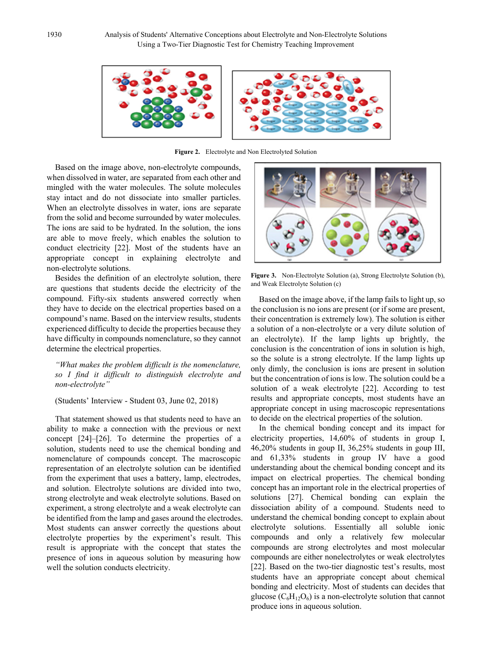

**Figure 2.** Electrolyte and Non Electrolyted Solution

Based on the image above, non-electrolyte compounds, when dissolved in water, are separated from each other and mingled with the water molecules. The solute molecules stay intact and do not dissociate into smaller particles. When an electrolyte dissolves in water, ions are separate from the solid and become surrounded by water molecules. The ions are said to be hydrated. In the solution, the ions are able to move freely, which enables the solution to conduct electricity [22]. Most of the students have an appropriate concept in explaining electrolyte and non-electrolyte solutions.

Besides the definition of an electrolyte solution, there are questions that students decide the electricity of the compound. Fifty-six students answered correctly when they have to decide on the electrical properties based on a compound's name. Based on the interview results, students experienced difficulty to decide the properties because they have difficulty in compounds nomenclature, so they cannot determine the electrical properties.

*"What makes the problem difficult is the nomenclature, so I find it difficult to distinguish electrolyte and non-electrolyte"*

#### (Students' Interview - Student 03, June 02, 2018)

That statement showed us that students need to have an ability to make a connection with the previous or next concept [24]–[26]. To determine the properties of a solution, students need to use the chemical bonding and nomenclature of compounds concept. The macroscopic representation of an electrolyte solution can be identified from the experiment that uses a battery, lamp, electrodes, and solution. Electrolyte solutions are divided into two, strong electrolyte and weak electrolyte solutions. Based on experiment, a strong electrolyte and a weak electrolyte can be identified from the lamp and gases around the electrodes. Most students can answer correctly the questions about electrolyte properties by the experiment's result. This result is appropriate with the concept that states the presence of ions in aqueous solution by measuring how well the solution conducts electricity.



**Figure 3.** Non-Electrolyte Solution (a), Strong Electrolyte Solution (b), and Weak Electrolyte Solution (c)

Based on the image above, if the lamp fails to light up, so the conclusion is no ions are present (or if some are present, their concentration is extremely low). The solution is either a solution of a non-electrolyte or a very dilute solution of an electrolyte). If the lamp lights up brightly, the conclusion is the concentration of ions in solution is high, so the solute is a strong electrolyte. If the lamp lights up only dimly, the conclusion is ions are present in solution but the concentration of ions is low. The solution could be a solution of a weak electrolyte [22]. According to test results and appropriate concepts, most students have an appropriate concept in using macroscopic representations to decide on the electrical properties of the solution.

In the chemical bonding concept and its impact for electricity properties, 14,60% of students in group I, 46,20% students in goup II, 36,25% students in goup III, and 61,33% students in group IV have a good understanding about the chemical bonding concept and its impact on electrical properties. The chemical bonding concept has an important role in the electrical properties of solutions [27]. Chemical bonding can explain the dissociation ability of a compound. Students need to understand the chemical bonding concept to explain about electrolyte solutions. Essentially all soluble ionic compounds and only a relatively few molecular compounds are strong electrolytes and most molecular compounds are either nonelectrolytes or weak electrolytes [22]. Based on the two-tier diagnostic test's results, most students have an appropriate concept about chemical bonding and electricity. Most of students can decides that glucose  $(C_6H_{12}O_6)$  is a non-electrolyte solution that cannot produce ions in aqueous solution.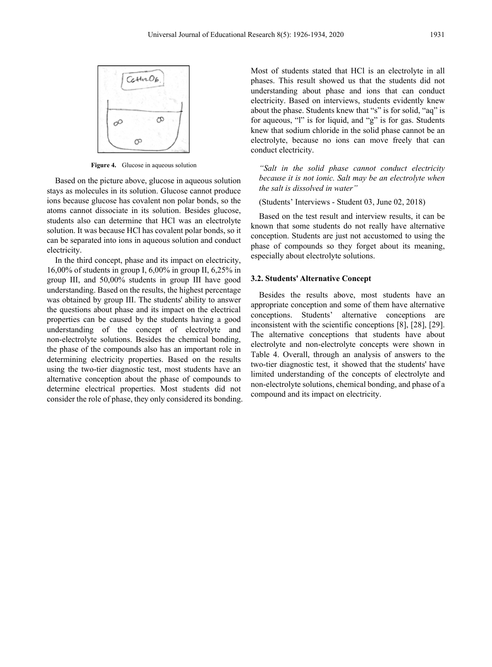

**Figure 4.** Glucose in aqueous solution

Based on the picture above, glucose in aqueous solution stays as molecules in its solution. Glucose cannot produce ions because glucose has covalent non polar bonds, so the atoms cannot dissociate in its solution. Besides glucose, students also can determine that HCl was an electrolyte solution. It was because HCl has covalent polar bonds, so it can be separated into ions in aqueous solution and conduct electricity.

In the third concept, phase and its impact on electricity, 16,00% of students in group I, 6,00% in group II, 6,25% in group III, and 50,00% students in group III have good understanding. Based on the results, the highest percentage was obtained by group III. The students' ability to answer the questions about phase and its impact on the electrical properties can be caused by the students having a good understanding of the concept of electrolyte and non-electrolyte solutions. Besides the chemical bonding, the phase of the compounds also has an important role in determining electricity properties. Based on the results using the two-tier diagnostic test, most students have an alternative conception about the phase of compounds to determine electrical properties. Most students did not consider the role of phase, they only considered its bonding. Most of students stated that HCl is an electrolyte in all phases. This result showed us that the students did not understanding about phase and ions that can conduct electricity. Based on interviews, students evidently knew about the phase. Students knew that "s" is for solid, "aq" is for aqueous, "l" is for liquid, and "g" is for gas. Students knew that sodium chloride in the solid phase cannot be an electrolyte, because no ions can move freely that can conduct electricity.

*"Salt in the solid phase cannot conduct electricity because it is not ionic. Salt may be an electrolyte when the salt is dissolved in water"*

(Students' Interviews - Student 03, June 02, 2018)

Based on the test result and interview results, it can be known that some students do not really have alternative conception. Students are just not accustomed to using the phase of compounds so they forget about its meaning, especially about electrolyte solutions.

#### **3.2. Students' Alternative Concept**

Besides the results above, most students have an appropriate conception and some of them have alternative conceptions. Students' alternative conceptions are inconsistent with the scientific conceptions [8], [28], [29]. The alternative conceptions that students have about electrolyte and non-electrolyte concepts were shown in Table 4. Overall, through an analysis of answers to the two-tier diagnostic test, it showed that the students' have limited understanding of the concepts of electrolyte and non-electrolyte solutions, chemical bonding, and phase of a compound and its impact on electricity.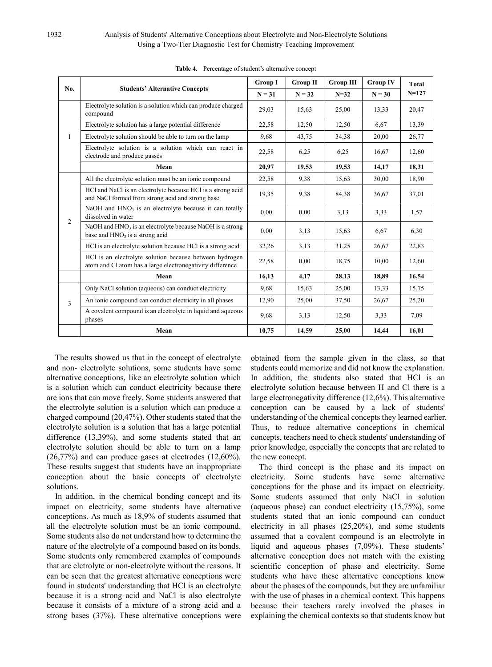#### 1932 Analysis of Students' Alternative Conceptions about Electrolyte and Non-Electrolyte Solutions Using a Two-Tier Diagnostic Test for Chemistry Teaching Improvement

| No.            | <b>Students' Alternative Concepts</b>                                                                                | <b>Group I</b> | <b>Group II</b> | <b>Group III</b> | <b>Group IV</b> | <b>Total</b><br>$N = 127$ |
|----------------|----------------------------------------------------------------------------------------------------------------------|----------------|-----------------|------------------|-----------------|---------------------------|
|                |                                                                                                                      | $N = 31$       | $N = 32$        | $N = 32$         | $N = 30$        |                           |
| $\mathbf{1}$   | Electrolyte solution is a solution which can produce charged<br>compound                                             | 29,03          | 15,63           | 25,00            | 13,33           | 20,47                     |
|                | Electrolyte solution has a large potential difference                                                                | 22,58          | 12,50           | 12,50            | 6.67            | 13,39                     |
|                | Electrolyte solution should be able to turn on the lamp                                                              | 9,68           | 43,75           | 34,38            | 20,00           | 26,77                     |
|                | Electrolyte solution is a solution which can react in<br>electrode and produce gasses                                | 22,58          | 6,25            | 6,25             | 16,67           | 12,60                     |
|                | Mean                                                                                                                 | 20,97          | 19,53           | 19,53            | 14,17           | 18,31                     |
|                | All the electrolyte solution must be an ionic compound                                                               | 22,58          | 9,38            | 15,63            | 30,00           | 18,90                     |
| $\overline{2}$ | HCl and NaCl is an electrolyte because HCl is a strong acid<br>and NaCl formed from strong acid and strong base      | 19,35          | 9,38            | 84,38            | 36,67           | 37,01                     |
|                | NaOH and HNO <sub>3</sub> is an electrolyte because it can totally<br>dissolved in water                             | 0,00           | 0,00            | 3.13             | 3,33            | 1,57                      |
|                | NaOH and $HNO3$ is an electrolyte because NaOH is a strong<br>base and $HNO3$ is a strong acid                       | 0,00           | 3,13            | 15,63            | 6,67            | 6,30                      |
|                | HCl is an electrolyte solution because HCl is a strong acid                                                          | 32,26          | 3,13            | 31,25            | 26,67           | 22,83                     |
|                | HCl is an electrolyte solution because between hydrogen<br>atom and Cl atom has a large electronegativity difference | 22,58          | 0.00            | 18,75            | 10,00           | 12,60                     |
|                | Mean                                                                                                                 | 16,13          | 4,17            | 28,13            | 18,89           | 16,54                     |
| 3              | Only NaCl solution (aqueous) can conduct electricity                                                                 | 9,68           | 15,63           | 25,00            | 13,33           | 15,75                     |
|                | An ionic compound can conduct electricity in all phases                                                              | 12,90          | 25,00           | 37,50            | 26,67           | 25,20                     |
|                | A covalent compound is an electrolyte in liquid and aqueous<br>phases                                                | 9,68           | 3,13            | 12,50            | 3,33            | 7,09                      |
|                | Mean                                                                                                                 | 10,75          | 14,59           | 25,00            | 14,44           | 16,01                     |

**Table 4.** Percentage of student's alternative concept

The results showed us that in the concept of electrolyte and non- electrolyte solutions, some students have some alternative conceptions, like an electrolyte solution which is a solution which can conduct electricity because there are ions that can move freely. Some students answered that the electrolyte solution is a solution which can produce a charged compound (20,47%). Other students stated that the electrolyte solution is a solution that has a large potential difference (13,39%), and some students stated that an electrolyte solution should be able to turn on a lamp (26,77%) and can produce gases at electrodes (12,60%). These results suggest that students have an inappropriate conception about the basic concepts of electrolyte solutions.

In addition, in the chemical bonding concept and its impact on electricity, some students have alternative conceptions. As much as 18,9% of students assumed that all the electrolyte solution must be an ionic compound. Some students also do not understand how to determine the nature of the electrolyte of a compound based on its bonds. Some students only remembered examples of compounds that are elctrolyte or non-electrolyte without the reasons. It can be seen that the greatest alternative conceptions were found in students' understanding that HCl is an electrolyte because it is a strong acid and NaCl is also electrolyte because it consists of a mixture of a strong acid and a strong bases (37%). These alternative conceptions were

obtained from the sample given in the class, so that students could memorize and did not know the explanation. In addition, the students also stated that HCl is an electrolyte solution because between H and Cl there is a large electronegativity difference (12,6%). This alternative conception can be caused by a lack of students' understanding of the chemical concepts they learned earlier. Thus, to reduce alternative conceptions in chemical concepts, teachers need to check students' understanding of prior knowledge, especially the concepts that are related to the new concept.

The third concept is the phase and its impact on electricity. Some students have some alternative conceptions for the phase and its impact on electricity. Some students assumed that only NaCl in solution (aqueous phase) can conduct electricity (15,75%), some students stated that an ionic compound can conduct electricity in all phases (25,20%), and some students assumed that a covalent compound is an electrolyte in liquid and aqueous phases (7,09%). These students' alternative conception does not match with the existing scientific conception of phase and electricity. Some students who have these alternative conceptions know about the phases of the compounds, but they are unfamiliar with the use of phases in a chemical context. This happens because their teachers rarely involved the phases in explaining the chemical contexts so that students know but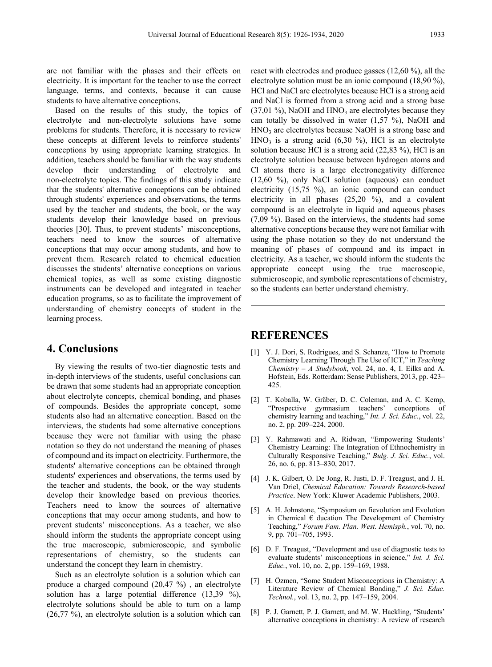are not familiar with the phases and their effects on electricity. It is important for the teacher to use the correct language, terms, and contexts, because it can cause students to have alternative conceptions.

Based on the results of this study, the topics of electrolyte and non-electrolyte solutions have some problems for students. Therefore, it is necessary to review these concepts at different levels to reinforce students' conceptions by using appropriate learning strategies. In addition, teachers should be familiar with the way students develop their understanding of electrolyte and non-electrolyte topics. The findings of this study indicate that the students' alternative conceptions can be obtained through students' experiences and observations, the terms used by the teacher and students, the book, or the way students develop their knowledge based on previous theories [30]. Thus, to prevent students' misconceptions, teachers need to know the sources of alternative conceptions that may occur among students, and how to prevent them. Research related to chemical education discusses the students' alternative conceptions on various chemical topics, as well as some existing diagnostic instruments can be developed and integrated in teacher education programs, so as to facilitate the improvement of understanding of chemistry concepts of student in the learning process.

## **4. Conclusions**

By viewing the results of two-tier diagnostic tests and in-depth interviews of the students, useful conclusions can be drawn that some students had an appropriate conception about electrolyte concepts, chemical bonding, and phases of compounds. Besides the appropriate concept, some students also had an alternative conception. Based on the interviews, the students had some alternative conceptions because they were not familiar with using the phase notation so they do not understand the meaning of phases of compound and its impact on electricity. Furthermore, the students' alternative conceptions can be obtained through students' experiences and observations, the terms used by the teacher and students, the book, or the way students develop their knowledge based on previous theories. Teachers need to know the sources of alternative conceptions that may occur among students, and how to prevent students' misconceptions. As a teacher, we also should inform the students the appropriate concept using the true macroscopic, submicroscopic, and symbolic representations of chemistry, so the students can understand the concept they learn in chemistry.

Such as an electrolyte solution is a solution which can produce a charged compound (20,47 %) , an electrolyte solution has a large potential difference (13,39 %), electrolyte solutions should be able to turn on a lamp (26,77 %), an electrolyte solution is a solution which can

react with electrodes and produce gasses (12,60 %), all the electrolyte solution must be an ionic compound (18,90 %), HCl and NaCl are electrolytes because HCl is a strong acid and NaCl is formed from a strong acid and a strong base  $(37,01\%)$ , NaOH and HNO<sub>3</sub> are electrolytes because they can totally be dissolved in water  $(1,57 \%)$ , NaOH and HNO<sub>3</sub> are electrolytes because NaOH is a strong base and  $HNO<sub>3</sub>$  is a strong acid (6,30 %), HCl is an electrolyte solution because HCl is a strong acid (22,83 %), HCl is an electrolyte solution because between hydrogen atoms and Cl atoms there is a large electronegativity difference (12,60 %), only NaCl solution (aqueous) can conduct electricity (15,75 %), an ionic compound can conduct electricity in all phases (25,20 %), and a covalent compound is an electrolyte in liquid and aqueous phases (7,09 %). Based on the interviews, the students had some alternative conceptions because they were not familiar with using the phase notation so they do not understand the meaning of phases of compound and its impact in electricity. As a teacher, we should inform the students the appropriate concept using the true macroscopic, submicroscopic, and symbolic representations of chemistry, so the students can better understand chemistry.

## **REFERENCES**

- [1] Y. J. Dori, S. Rodrigues, and S. Schanze, "How to Promote" Chemistry Learning Through The Use of ICT," in *Teaching Chemistry – A Studybook*, vol. 24, no. 4, I. Eilks and A. Hofstein, Eds. Rotterdam: Sense Publishers, 2013, pp. 423– 425.
- [2] T. Koballa, W. Gräber, D. C. Coleman, and A. C. Kemp, "Prospective gymnasium teachers' conceptions of chemistry learning and teaching," *Int. J. Sci. Educ.*, vol. 22, no. 2, pp. 209–224, 2000.
- [3] Y. Rahmawati and A. Ridwan, "Empowering Students' Chemistry Learning: The Integration of Ethnochemistry in Culturally Responsive Teaching," *Bulg. J. Sci. Educ.*, vol. 26, no. 6, pp. 813–830, 2017.
- [4] J. K. Gilbert, O. De Jong, R. Justi, D. F. Treagust, and J. H. Van Driel, *Chemical Education: Towards Research-based Practice*. New York: Kluwer Academic Publishers, 2003.
- [5] A. H. Johnstone, "Symposium on fievolution and Evolution in Chemical  $\epsilon$  ducation The Development of Chemistry Teaching," *Forum Fam. Plan. West. Hemisph.*, vol. 70, no. 9, pp. 701–705, 1993.
- [6] D. F. Treagust, "Development and use of diagnostic tests to evaluate students' misconceptions in science," *Int. J. Sci. Educ.*, vol. 10, no. 2, pp. 159–169, 1988.
- [7] H. Özmen, "Some Student Misconceptions in Chemistry: A Literature Review of Chemical Bonding," *J. Sci. Educ. Technol.*, vol. 13, no. 2, pp. 147–159, 2004.
- [8] P. J. Garnett, P. J. Garnett, and M. W. Hackling, "Students' alternative conceptions in chemistry: A review of research